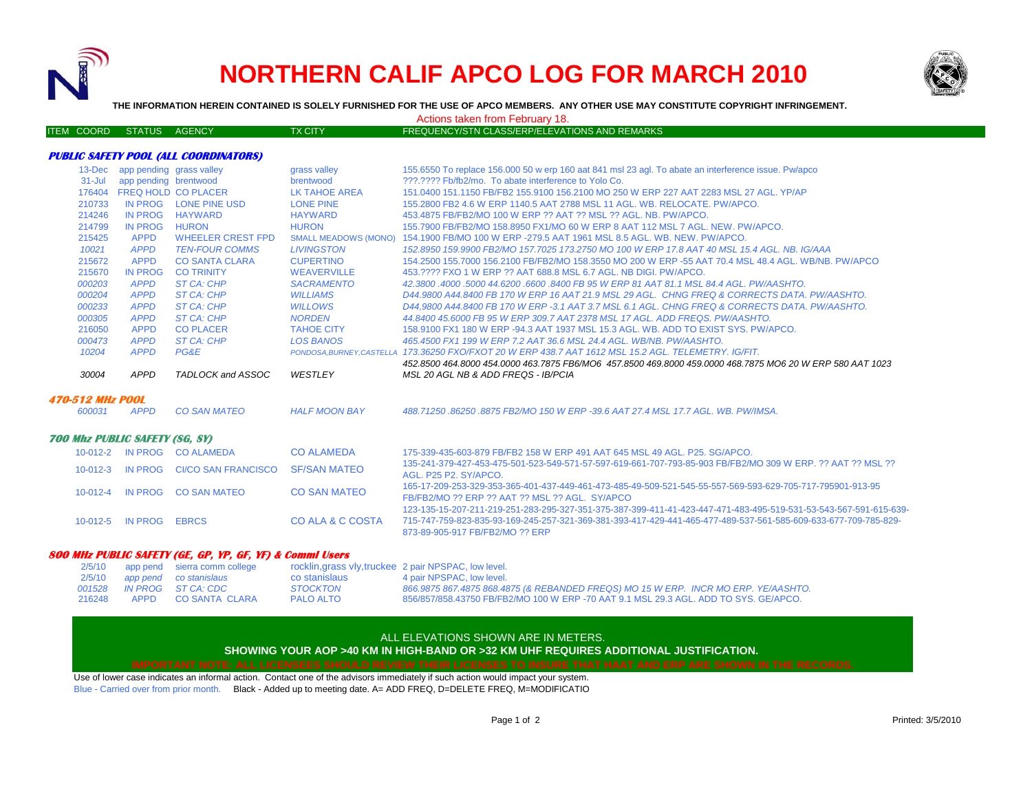

# **NORTHERN CALIF APCO LOG FOR MARCH 2010**



**THE INFORMATION HEREIN CONTAINED IS SOLELY FURNISHED FOR THE USE OF APCO MEMBERS. ANY OTHER USE MAY CONSTITUTE COPYRIGHT INFRINGEMENT.**

Actions taken from February 18.

| ITEM COORD STATUS AGENCY |  | <b>TX CITY</b> | FREQUENCY/STN CLASS/ERP/ELEVATIONS AND REMARKS |
|--------------------------|--|----------------|------------------------------------------------|
|                          |  |                |                                                |

## **PUBLIC SAFETY POOL (ALL COORDINATORS)**

| $13 - Dec$                            | app pending grass valley |                             | grass valley                | 155.6550 To replace 156.000 50 w erp 160 aat 841 msl 23 agl. To abate an interference issue. Pw/apco                                                                                                                                                                                                                                                                                                                                                                                                                                                                          |  |
|---------------------------------------|--------------------------|-----------------------------|-----------------------------|-------------------------------------------------------------------------------------------------------------------------------------------------------------------------------------------------------------------------------------------------------------------------------------------------------------------------------------------------------------------------------------------------------------------------------------------------------------------------------------------------------------------------------------------------------------------------------|--|
| $31 -$ Jul                            | app pending brentwood    |                             | brentwood                   | 222.2222 Fb/fb2/mo. To abate interference to Yolo Co.                                                                                                                                                                                                                                                                                                                                                                                                                                                                                                                         |  |
| 176404                                |                          | <b>FREQ HOLD CO PLACER</b>  | LK TAHOE AREA               | 151,0400 151,1150 FB/FB2 155,9100 156,2100 MO 250 W ERP 227 AAT 2283 MSL 27 AGL. YP/AP                                                                                                                                                                                                                                                                                                                                                                                                                                                                                        |  |
| 210733                                | IN PROG                  | <b>LONE PINE USD</b>        | <b>LONE PINE</b>            | 155,2800 FB2 4.6 W ERP 1140.5 AAT 2788 MSL 11 AGL, WB, RELOCATE, PW/APCO,                                                                                                                                                                                                                                                                                                                                                                                                                                                                                                     |  |
| 214246                                | <b>IN PROG</b>           | <b>HAYWARD</b>              | <b>HAYWARD</b>              | 453.4875 FB/FB2/MO 100 W ERP ?? AAT ?? MSL ?? AGL, NB, PW/APCO.                                                                                                                                                                                                                                                                                                                                                                                                                                                                                                               |  |
| 214799                                | <b>IN PROG</b>           | <b>HURON</b>                | <b>HURON</b>                | 155.7900 FB/FB2/MO 158.8950 FX1/MO 60 W ERP 8 AAT 112 MSL 7 AGL, NEW, PW/APCO,                                                                                                                                                                                                                                                                                                                                                                                                                                                                                                |  |
| 215425                                | <b>APPD</b>              | <b>WHEELER CREST FPD</b>    | <b>SMALL MEADOWS (MONO)</b> | 154.1900 FB/MO 100 W ERP -279.5 AAT 1961 MSL 8.5 AGL, WB, NEW, PW/APCO,                                                                                                                                                                                                                                                                                                                                                                                                                                                                                                       |  |
| 10021                                 | <b>APPD</b>              | <b>TEN-FOUR COMMS</b>       | <b>LIVINGSTON</b>           | 152.8950 159.9900 FB2/MO 157.7025 173.2750 MO 100 W ERP 17.8 AAT 40 MSL 15.4 AGL, NB, IG/AAA                                                                                                                                                                                                                                                                                                                                                                                                                                                                                  |  |
| 215672                                | <b>APPD</b>              | <b>CO SANTA CLARA</b>       | <b>CUPERTINO</b>            | 154,2500 155,7000 156,2100 FB/FB2/MO 158,3550 MO 200 W ERP -55 AAT 70.4 MSL 48.4 AGL. WB/NB, PW/APCO                                                                                                                                                                                                                                                                                                                                                                                                                                                                          |  |
| 215670                                | <b>IN PROG</b>           | <b>CO TRINITY</b>           | <b>WEAVERVILLE</b>          | 453.???? FXO 1 W ERP ?? AAT 688.8 MSL 6.7 AGL. NB DIGI, PW/APCO.                                                                                                                                                                                                                                                                                                                                                                                                                                                                                                              |  |
| 000203                                | <b>APPD</b>              | <b>ST CA: CHP</b>           | <b>SACRAMENTO</b>           | 42.3800.4000.5000.44.6200.6600.8400 FB 95 W ERP 81 AAT 81.1 MSL 84.4 AGL, PW/AASHTO,                                                                                                                                                                                                                                                                                                                                                                                                                                                                                          |  |
| 000204                                | <b>APPD</b>              | <b>ST CA: CHP</b>           | <b>WILLIAMS</b>             | D44,9800 A44,8400 FB 170 W ERP 16 AAT 21.9 MSL 29 AGL, CHNG FREQ & CORRECTS DATA, PW/AASHTO,                                                                                                                                                                                                                                                                                                                                                                                                                                                                                  |  |
| 000233                                | <b>APPD</b>              | <b>ST CA: CHP</b>           | <b>WILLOWS</b>              | D44,9800 A44,8400 FB 170 W ERP -3.1 AAT 3.7 MSL 6.1 AGL. CHNG FREQ & CORRECTS DATA, PW/AASHTO,                                                                                                                                                                                                                                                                                                                                                                                                                                                                                |  |
| 000305                                | <b>APPD</b>              | <b>ST CA: CHP</b>           | <b>NORDEN</b>               | 44.8400 45.6000 FB 95 W ERP 309.7 AAT 2378 MSL 17 AGL, ADD FREQS, PW/AASHTO.                                                                                                                                                                                                                                                                                                                                                                                                                                                                                                  |  |
| 216050                                | <b>APPD</b>              | <b>CO PLACER</b>            | <b>TAHOE CITY</b>           | 158,9100 FX1 180 W ERP -94.3 AAT 1937 MSL 15.3 AGL, WB, ADD TO EXIST SYS, PW/APCO,                                                                                                                                                                                                                                                                                                                                                                                                                                                                                            |  |
| 000473                                | <b>APPD</b>              | <b>ST CA: CHP</b>           | <b>LOS BANOS</b>            | 465.4500 FX1 199 W ERP 7.2 AAT 36.6 MSL 24.4 AGL, WB/NB, PW/AASHTO,                                                                                                                                                                                                                                                                                                                                                                                                                                                                                                           |  |
| 10204                                 | <b>APPD</b>              | <b>PG&amp;E</b>             |                             | PONDOSA.BURNEY.CASTELLA 173.36250 FXO/FXOT 20 W ERP 438.7 AAT 1612 MSL 15.2 AGL. TELEMETRY, IG/FIT.                                                                                                                                                                                                                                                                                                                                                                                                                                                                           |  |
|                                       |                          |                             |                             | 452.8500 464.8000 454.0000 463.7875 FB6/MO6 457.8500 469.8000 459.0000 468.7875 MO6 20 W ERP 580 AAT 1023                                                                                                                                                                                                                                                                                                                                                                                                                                                                     |  |
| 30004                                 | <b>APPD</b>              | TADLOCK and ASSOC           | WESTLEY                     | MSL 20 AGL NB & ADD FREQS - IB/PCIA                                                                                                                                                                                                                                                                                                                                                                                                                                                                                                                                           |  |
| <i><b>470-512 MHz POOL</b></i>        |                          |                             |                             |                                                                                                                                                                                                                                                                                                                                                                                                                                                                                                                                                                               |  |
| 600031                                | <b>APPD</b>              | <b>CO SAN MATEO</b>         | <b>HALF MOON BAY</b>        | 488.71250.86250.8875 FB2/MO 150 W ERP -39.6 AAT 27.4 MSL 17.7 AGL, WB, PW/IMSA,                                                                                                                                                                                                                                                                                                                                                                                                                                                                                               |  |
| <b>700 Mhz PUBLIC SAFETY (SG. SY)</b> |                          |                             |                             |                                                                                                                                                                                                                                                                                                                                                                                                                                                                                                                                                                               |  |
|                                       |                          | 10-012-2 IN PROG CO ALAMEDA | <b>CO ALAMEDA</b>           | 175-339-435-603-879 FB/FB2 158 W ERP 491 AAT 645 MSL 49 AGL, P25, SG/APCO,                                                                                                                                                                                                                                                                                                                                                                                                                                                                                                    |  |
| $10-012-3$                            | <b>IN PROG</b>           | <b>CI/CO SAN FRANCISCO</b>  | <b>SF/SAN MATEO</b>         | 135-241-379-427-453-475-501-523-549-571-57-597-619-661-707-793-85-903 FB/FB2/MO 309 W ERP 22 AAT 22 MSL 22<br>AGL, P25 P2, SY/APCO.<br>165-17-209-253-329-353-365-401-437-449-461-473-485-49-509-521-545-55-557-569-593-629-705-717-795901-913-95<br>FB/FB2/MO ?? ERP ?? AAT ?? MSL ?? AGL. SY/APCO<br>123-135-15-207-211-219-251-283-295-327-351-375-387-399-411-41-423-447-471-483-495-519-531-53-543-567-591-615-639<br>715-747-759-823-835-93-169-245-257-321-369-381-393-417-429-441-465-477-489-537-561-585-609-633-677-709-785-829-<br>873-89-905-917 FB/FB2/MO ?? ERP |  |
|                                       | 10-012-4 IN PROG         | <b>CO SAN MATEO</b>         | <b>CO SAN MATEO</b>         |                                                                                                                                                                                                                                                                                                                                                                                                                                                                                                                                                                               |  |
|                                       | 10-012-5 IN PROG         | <b>EBRCS</b>                | CO ALA & C COSTA            |                                                                                                                                                                                                                                                                                                                                                                                                                                                                                                                                                                               |  |

### **800 MHz PUBLIC SAFETY (GE, GP, YP, GF, YF) & Comml Users**

|        | 2/5/10 app pend sierra comm college |                  | rocklin, grass vly, truckee 2 pair NPSPAC, low level.                                |
|--------|-------------------------------------|------------------|--------------------------------------------------------------------------------------|
|        | 2/5/10 app pend co stanislaus       | co stanislaus    | 4 pair NPSPAC, low level.                                                            |
|        | 001528 IN PROG ST CA: CDC           | STOCKTON         | 866.9875 867.4875 868.4875 (& REBANDED FREQS) MO 15 W ERP. INCR MO ERP. YE/AASHTO.   |
| 216248 | APPD CO SANTA CLARA                 | <b>PALO ALTO</b> | 856/857/858.43750 FB/FB2/MO 100 W ERP -70 AAT 9.1 MSL 29.3 AGL, ADD TO SYS, GE/APCO. |

### ALL ELEVATIONS SHOWN ARE IN METERS.

## **SHOWING YOUR AOP >40 KM IN HIGH-BAND OR >32 KM UHF REQUIRES ADDITIONAL JUSTIFICATION.**

Use of lower case indicates an informal action. Contact one of the advisors immediately if such action would impact your system. Blue - Carried over from prior month. Black - Added up to meeting date. A= ADD FREQ, D=DELETE FREQ, M=MODIFICATIO